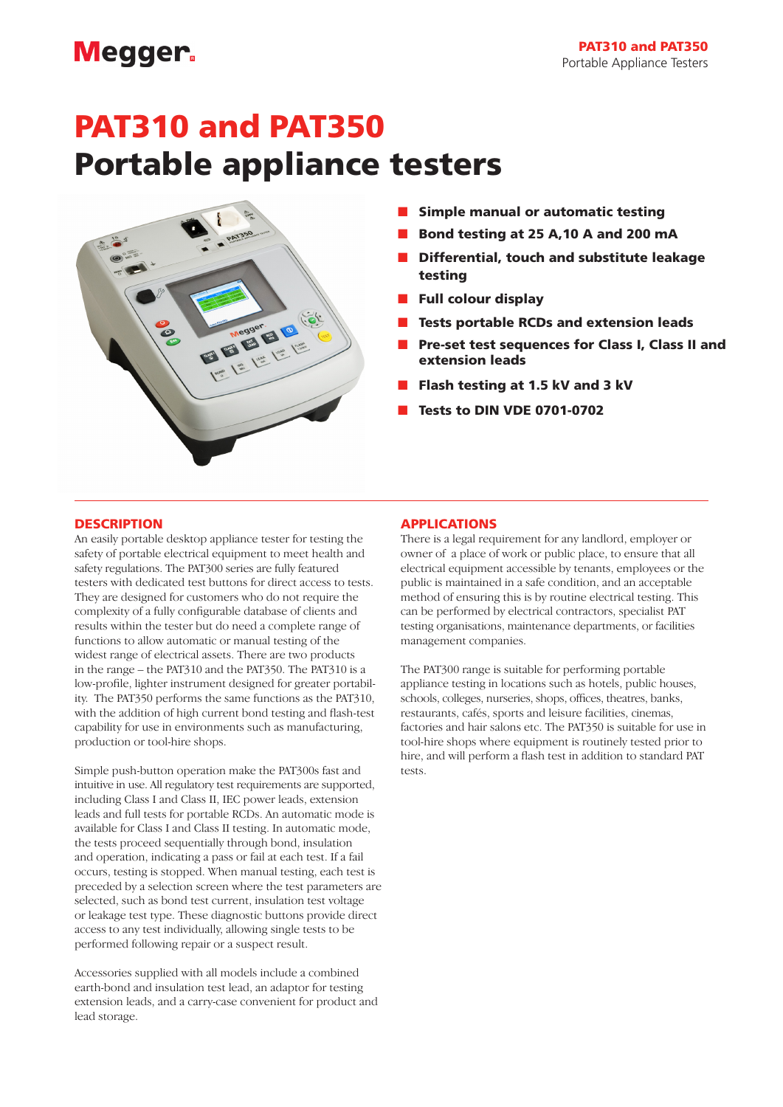## **Megger**

# PAT310 and PAT350 Portable appliance testers



- $\blacksquare$  Simple manual or automatic testing
- n Bond testing at 25 A,10 A and 200 mA
- Differential, touch and substitute leakage testing
- Full colour display
- Tests portable RCDs and extension leads
- Pre-set test sequences for Class I, Class II and extension leads
- Flash testing at 1.5 kV and 3 kV
- **Tests to DIN VDE 0701-0702**

### **DESCRIPTION**

An easily portable desktop appliance tester for testing the safety of portable electrical equipment to meet health and safety regulations. The PAT300 series are fully featured testers with dedicated test buttons for direct access to tests. They are designed for customers who do not require the complexity of a fully configurable database of clients and results within the tester but do need a complete range of functions to allow automatic or manual testing of the widest range of electrical assets. There are two products in the range – the PAT310 and the PAT350. The PAT310 is a low-profile, lighter instrument designed for greater portability. The PAT350 performs the same functions as the PAT310, with the addition of high current bond testing and flash-test capability for use in environments such as manufacturing, production or tool-hire shops.

Simple push-button operation make the PAT300s fast and intuitive in use. All regulatory test requirements are supported, including Class I and Class II, IEC power leads, extension leads and full tests for portable RCDs. An automatic mode is available for Class I and Class II testing. In automatic mode, the tests proceed sequentially through bond, insulation and operation, indicating a pass or fail at each test. If a fail occurs, testing is stopped. When manual testing, each test is preceded by a selection screen where the test parameters are selected, such as bond test current, insulation test voltage or leakage test type. These diagnostic buttons provide direct access to any test individually, allowing single tests to be performed following repair or a suspect result.

Accessories supplied with all models include a combined earth-bond and insulation test lead, an adaptor for testing extension leads, and a carry-case convenient for product and lead storage.

### APPLICATIONS

There is a legal requirement for any landlord, employer or owner of a place of work or public place, to ensure that all electrical equipment accessible by tenants, employees or the public is maintained in a safe condition, and an acceptable method of ensuring this is by routine electrical testing. This can be performed by electrical contractors, specialist PAT testing organisations, maintenance departments, or facilities management companies.

The PAT300 range is suitable for performing portable appliance testing in locations such as hotels, public houses, schools, colleges, nurseries, shops, offices, theatres, banks, restaurants, cafés, sports and leisure facilities, cinemas, factories and hair salons etc. The PAT350 is suitable for use in tool-hire shops where equipment is routinely tested prior to hire, and will perform a flash test in addition to standard PAT tests.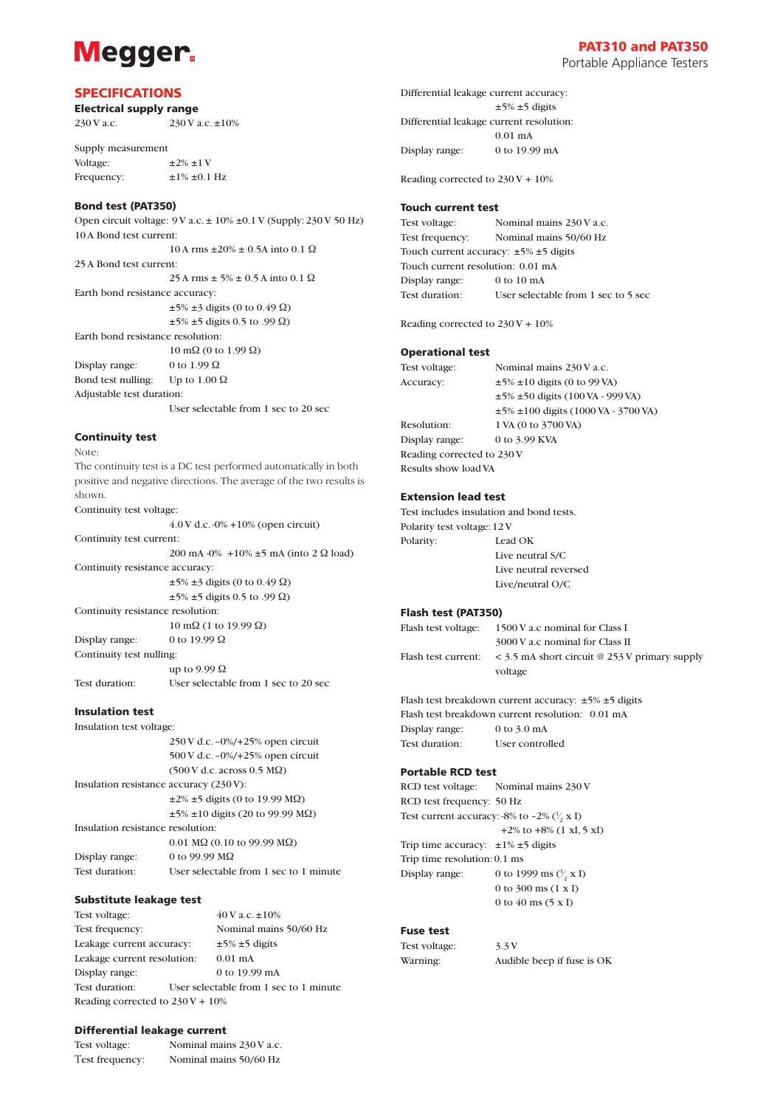## **Megger**

### SPECIFICATIONS

Electrical supply range 230 V a.c.  $230$  V a.c.  $\pm 10\%$ 

Supply measurement Voltage:  $\pm 2\% \pm 1$  V Frequency:  $\pm 1\% \pm 0.1$  Hz

#### Bond test (PAT350)

Open circuit voltage: 9 V a.c. ± 10% ±0.1 V (Supply: 230 V 50 Hz) 10 A Bond test current: 10 A rms  $±20\% ± 0.5$ A into 0.1 Ω 25 A Bond test current:  $25 \text{ A rms} \pm 5\% \pm 0.5 \text{ A}$  into 0.1  $\Omega$ Earth bond resistance accuracy:  $\pm$ 5%  $\pm$ 3 digits (0 to 0.49  $\Omega$ )  $\pm$ 5%  $\pm$ 5 digits 0.5 to .99  $\Omega$ ) Earth bond resistance resolution: 10 mΩ (0 to 1.99 Ω) Display range: 0 to 1.99  $\Omega$ Bond test nulling: Up to  $1.00 \Omega$ 

Adjustable test duration:

User selectable from 1 sec to 20 sec

#### Continuity test

Note:

The continuity test is a DC test performed automatically in both positive and negative directions. The average of the two results is shown.

Continuity test voltage:

4.0 V d.c. -0% +10% (open circuit)

Continuity test current: 200 mA -0% +10% ±5 mA (into 2 Ω load)

Continuity resistance accuracy:

 $\pm 5\% \pm 3$  digits (0 to 0.49  $\Omega$ ) ±5% ±5 digits 0.5 to .99 Ω)

Continuity resistance resolution:

10 mΩ (1 to 19.99 Ω)

Display range: 0 to 19.99 Ω Continuity test nulling: up to 9.99  $\Omega$ 

Test duration: User selectable from 1 sec to 20 sec

#### Insulation test

Insulation test voltage:

|                                         | $250$ V d.c. $-0\%/+25\%$ open circuit             |
|-----------------------------------------|----------------------------------------------------|
|                                         | 500 V d.c. $-0\%/+25\%$ open circuit               |
|                                         | $(500 \text{ V d.c.} \arccos 0.5 \text{ M}\Omega)$ |
| Insulation resistance accuracy (230 V): |                                                    |
|                                         | $\pm 2\% \pm 5$ digits (0 to 19.99 M $\Omega$ )    |
|                                         | $\pm 5\% \pm 10$ digits (20 to 99.99 M $\Omega$ )  |
| Insulation resistance resolution:       |                                                    |
|                                         | $0.01 \text{ M}\Omega$ (0.10 to 99.99 M $\Omega$ ) |
| Display range:                          | 0 to 99.99 $\text{M}\Omega$                        |
| Test duration:                          | User selectable from 1 sec to 1 minute             |

#### Substitute leakage test

Test voltage:  $40 \text{ V a.c.} \pm 10\%$ Test frequency: Nominal mains 50/60 Hz Leakage current accuracy:  $\pm 5\% \pm 5$  digits Leakage current resolution: 0.01 mA Display range: 0 to 19.99 mA Test duration: User selectable from 1 sec to 1 minute Reading corrected to 230 V + 10%

#### Differential leakage current

| Test voltage:   | Nominal mains 230 V a.c. |
|-----------------|--------------------------|
| Test frequency: | Nominal mains 50/60 Hz   |

Portable Appliance Testers

Differential leakage current accuracy:  $±5% ±5$  digits Differential leakage current resolution: 0.01 mA Display range: 0 to 19.99 mA

Reading corrected to 230 V + 10%

#### Touch current test

Test voltage: Nominal mains 230 V a.c. Test frequency: Nominal mains 50/60 Hz Touch current accuracy: ±5% ±5 digits Touch current resolution: 0.01 mA Display range: 0 to 10 mA Test duration: User selectable from 1 sec to 5 sec

Reading corrected to 230 V + 10%

#### Operational test

Test voltage: Nominal mains 230 V a.c. Accuracy:  $\pm 5\% \pm 10$  digits (0 to 99 VA) ±5% ±50 digits (100 VA - 999 VA) ±5% ±100 digits (1000 VA - 3700 VA) Resolution:  $1 VA (0 to 3700 VA)$ Display range: 0 to 3.99 KVA Reading corrected to 230 V Results show load VA

#### Extension lead test

Test includes insulation and bond tests. Polarity test voltage: 12 V Polarity: Lead OK Live neutral S/C Live neutral reversed Live/neutral O/C

#### Flash test (PAT350)

| Flash test voltage: | 1500 V a.c nominal for Class I                             |
|---------------------|------------------------------------------------------------|
|                     | 3000 V a.c nominal for Class II                            |
| Flash test current: | $<$ 3.5 mA short circuit @ 253 V primary supply<br>voltage |
|                     |                                                            |

Flash test breakdown current accuracy: ±5% ±5 digits Flash test breakdown current resolution: 0.01 mA Display range: 0 to 3.0 mA Test duration: User controlled

### Portable RCD test

RCD test voltage: Nominal mains 230 V RCD test frequency: 50 Hz Test current accuracy: -8% to -2% ( $\frac{1}{2}$  x I) ⁄ +2% to  $+8\%$  (1 xI, 5 xI) Trip time accuracy:  $\pm 1\% \pm 5$  digits Trip time resolution: 0.1 ms Display range: ∕∕  $\frac{1}{2} \times I$  0 to 300 ms (1 x I) 0 to 40 ms (5 x I)

#### Fuse test

Test voltage: 3.3 V

Warning: Audible beep if fuse is OK